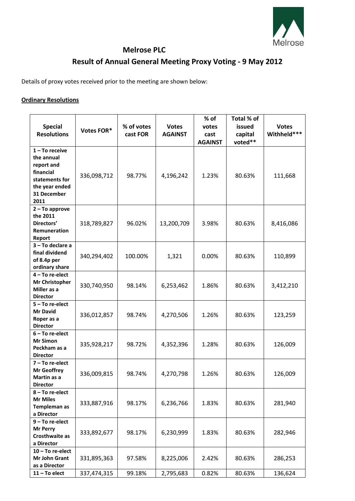

## **Melrose PLC Result of Annual General Meeting Proxy Voting - 9 May 2012**

Details of proxy votes received prior to the meeting are shown below:

## **Ordinary Resolutions**

| <b>Special</b><br><b>Resolutions</b>                                                                                 | Votes FOR*  | % of votes<br>cast FOR | <b>Votes</b><br><b>AGAINST</b> | $%$ of<br>votes<br>cast | Total % of<br>issued<br>capital | <b>Votes</b><br>Withheld*** |
|----------------------------------------------------------------------------------------------------------------------|-------------|------------------------|--------------------------------|-------------------------|---------------------------------|-----------------------------|
|                                                                                                                      |             |                        |                                | <b>AGAINST</b>          | voted**                         |                             |
| $1 - To receive$<br>the annual<br>report and<br>financial<br>statements for<br>the year ended<br>31 December<br>2011 | 336,098,712 | 98.77%                 | 4,196,242                      | 1.23%                   | 80.63%                          | 111,668                     |
| $2 - To$ approve<br>the 2011<br>Directors'<br>Remuneration<br>Report                                                 | 318,789,827 | 96.02%                 | 13,200,709                     | 3.98%                   | 80.63%                          | 8,416,086                   |
| 3 - To declare a<br>final dividend<br>of 8.4p per<br>ordinary share                                                  | 340,294,402 | 100.00%                | 1,321                          | 0.00%                   | 80.63%                          | 110,899                     |
| 4 - To re-elect<br>Mr Christopher<br>Miller as a<br><b>Director</b>                                                  | 330,740,950 | 98.14%                 | 6,253,462                      | 1.86%                   | 80.63%                          | 3,412,210                   |
| $5 - To re-elect$<br><b>Mr David</b><br>Roper as a<br><b>Director</b>                                                | 336,012,857 | 98.74%                 | 4,270,506                      | 1.26%                   | 80.63%                          | 123,259                     |
| $6 - To re-elect$<br><b>Mr Simon</b><br>Peckham as a<br><b>Director</b>                                              | 335,928,217 | 98.72%                 | 4,352,396                      | 1.28%                   | 80.63%                          | 126,009                     |
| $7 - To re-elect$<br><b>Mr Geoffrey</b><br>Martin as a<br><b>Director</b>                                            | 336,009,815 | 98.74%                 | 4,270,798                      | 1.26%                   | 80.63%                          | 126,009                     |
| 8-To re-elect<br><b>Mr Miles</b><br>Templeman as<br>a Director                                                       | 333,887,916 | 98.17%                 | 6,236,766                      | 1.83%                   | 80.63%                          | 281,940                     |
| 9 - To re-elect<br><b>Mr Perry</b><br>Crosthwaite as<br>a Director                                                   | 333,892,677 | 98.17%                 | 6,230,999                      | 1.83%                   | 80.63%                          | 282,946                     |
| $10 - To re-elect$<br>Mr John Grant<br>as a Director<br>$11 - To elect$                                              | 331,895,363 | 97.58%                 | 8,225,006                      | 2.42%                   | 80.63%                          | 286,253                     |
|                                                                                                                      | 337,474,315 | 99.18%                 | 2,795,683                      | 0.82%                   | 80.63%                          | 136,624                     |